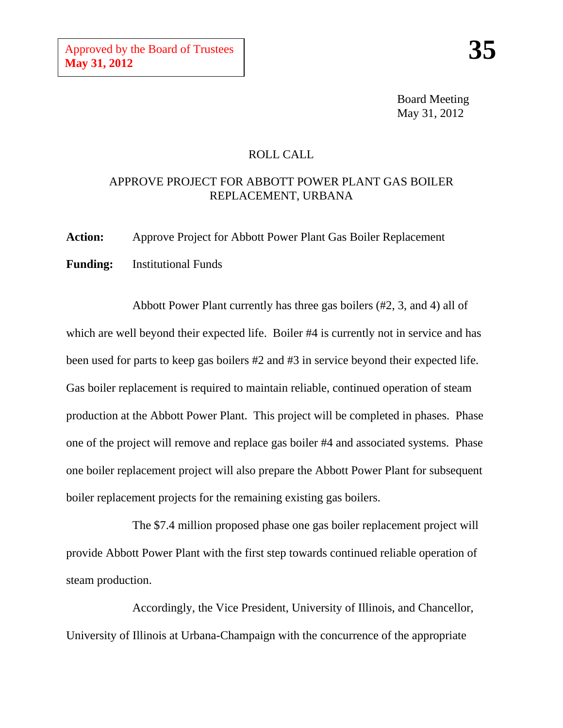Board Meeting May 31, 2012

## ROLL CALL

## APPROVE PROJECT FOR ABBOTT POWER PLANT GAS BOILER REPLACEMENT, URBANA

**Action:** Approve Project for Abbott Power Plant Gas Boiler Replacement **Funding:** Institutional Funds

Abbott Power Plant currently has three gas boilers (#2, 3, and 4) all of which are well beyond their expected life. Boiler #4 is currently not in service and has been used for parts to keep gas boilers #2 and #3 in service beyond their expected life. Gas boiler replacement is required to maintain reliable, continued operation of steam production at the Abbott Power Plant. This project will be completed in phases. Phase one of the project will remove and replace gas boiler #4 and associated systems. Phase one boiler replacement project will also prepare the Abbott Power Plant for subsequent boiler replacement projects for the remaining existing gas boilers.

The \$7.4 million proposed phase one gas boiler replacement project will provide Abbott Power Plant with the first step towards continued reliable operation of steam production.

Accordingly, the Vice President, University of Illinois, and Chancellor, University of Illinois at Urbana-Champaign with the concurrence of the appropriate